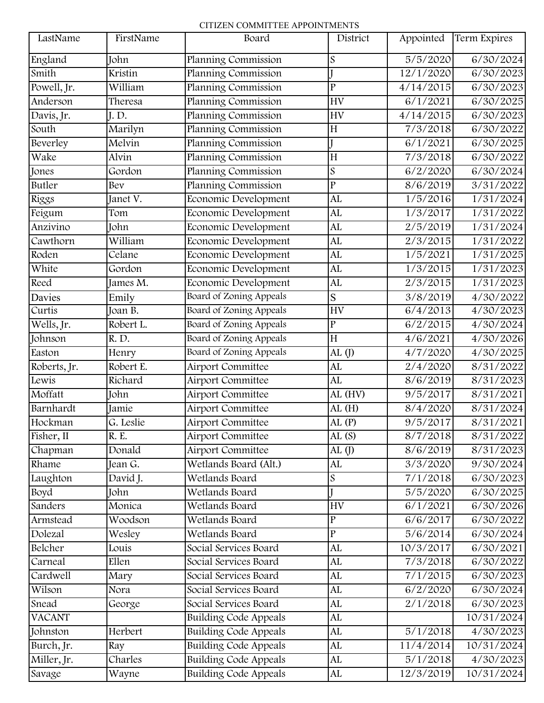## CITIZEN COMMITTEE APPOINTMENTS

| LastName      | FirstName | Board                        | District         | Appointed | Term Expires |
|---------------|-----------|------------------------------|------------------|-----------|--------------|
| England       | John      | Planning Commission          | $\boldsymbol{S}$ | 5/5/2020  | 6/30/2024    |
| Smith         | Kristin   | Planning Commission          |                  | 12/1/2020 | 6/30/2023    |
| Powell, Jr.   | William   | Planning Commission          | $\overline{P}$   | 4/14/2015 | 6/30/2023    |
| Anderson      | Theresa   | Planning Commission          | <b>HV</b>        | 6/1/2021  | 6/30/2025    |
| Davis, Jr.    | J.D.      | Planning Commission          | <b>HV</b>        | 4/14/2015 | 6/30/2023    |
| South         | Marilyn   | Planning Commission          | H                | 7/3/2018  | 6/30/2022    |
| Beverley      | Melvin    | Planning Commission          |                  | 6/1/2021  | 6/30/2025    |
| Wake          | Alvin     | Planning Commission          | H                | 7/3/2018  | 6/30/2022    |
| Jones         | Gordon    | Planning Commission          | $\boldsymbol{S}$ | 6/2/2020  | 6/30/2024    |
| Butler        | Bev       | Planning Commission          | $\overline{P}$   | 8/6/2019  | 3/31/2022    |
| Riggs         | Janet V.  | Economic Development         | AL               | 1/5/2016  | 1/31/2024    |
| Feigum        | Tom       | Economic Development         | AL               | 1/3/2017  | 1/31/2022    |
| Anzivino      | John      | Economic Development         | AL               | 2/5/2019  | 1/31/2024    |
| Cawthorn      | William   | Economic Development         | AL               | 2/3/2015  | 1/31/2022    |
| Roden         | Celane    | Economic Development         | AL               | 1/5/2021  | 1/31/2025    |
| White         | Gordon    | Economic Development         | AL               | 1/3/2015  | 1/31/2023    |
| Reed          | James M.  | Economic Development         | AL               | 2/3/2015  | 1/31/2023    |
| Davies        | Emily     | Board of Zoning Appeals      | S                | 3/8/2019  | 4/30/2022    |
| Curtis        | Joan B.   | Board of Zoning Appeals      | <b>HV</b>        | 6/4/2013  | 4/30/2023    |
| Wells, Jr.    | Robert L. | Board of Zoning Appeals      | $\overline{P}$   | 6/2/2015  | 4/30/2024    |
| Johnson       | R.D.      | Board of Zoning Appeals      | H                | 4/6/2021  | 4/30/2026    |
| Easton        | Henry     | Board of Zoning Appeals      | AL $($ J $)$     | 4/7/2020  | 4/30/2025    |
| Roberts, Jr.  | Robert E. | Airport Committee            | AL               | 2/4/2020  | 8/31/2022    |
| Lewis         | Richard   | <b>Airport Committee</b>     | AL               | 8/6/2019  | 8/31/2023    |
| Moffatt       | John      | Airport Committee            | $AL$ (HV)        | 9/5/2017  | 8/31/2021    |
| Barnhardt     | Jamie     | <b>Airport Committee</b>     | AL(H)            | 8/4/2020  | 8/31/2024    |
| Hockman       | G. Leslie | <b>Airport Committee</b>     | AL(P)            | 9/5/2017  | 8/31/2021    |
| Fisher, II    | R. E.     | Airport Committee            | AL(S)            | 8/7/2018  | 8/31/2022    |
| Chapman       | Donald    | <b>Airport Committee</b>     | AL $(J)$         | 8/6/2019  | 8/31/2023    |
| Rhame         | Jean G.   | Wetlands Board (Alt.)        | AL               | 3/3/2020  | 9/30/2024    |
| Laughton      | David J.  | Wetlands Board               | $\overline{S}$   | 7/1/2018  | 6/30/2023    |
| Boyd          | John      | Wetlands Board               |                  | 5/5/2020  | 6/30/2025    |
| Sanders       | Monica    | Wetlands Board               | <b>HV</b>        | 6/1/2021  | 6/30/2026    |
| Armstead      | Woodson   | Wetlands Board               | $\overline{P}$   | 6/6/2017  | 6/30/2022    |
| Dolezal       | Wesley    | Wetlands Board               | $\overline{P}$   | 5/6/2014  | 6/30/2024    |
| Belcher       | Louis     | Social Services Board        | AL               | 10/3/2017 | 6/30/2021    |
| Carneal       | Ellen     | Social Services Board        | AL               | 7/3/2018  | 6/30/2022    |
| Cardwell      | Mary      | Social Services Board        | AL               | 7/1/2015  | 6/30/2023    |
| Wilson        | Nora      | Social Services Board        | AL               | 6/2/2020  | 6/30/2024    |
| Snead         | George    | Social Services Board        | AL               | 2/1/2018  | 6/30/2023    |
| <b>VACANT</b> |           | <b>Building Code Appeals</b> | AL               |           | 10/31/2024   |
| Johnston      | Herbert   | <b>Building Code Appeals</b> | AL               | 5/1/2018  | 4/30/2023    |
| Burch, Jr.    | Ray       | <b>Building Code Appeals</b> | AL               | 11/4/2014 | 10/31/2024   |
| Miller, Jr.   | Charles   | <b>Building Code Appeals</b> | AL               | 5/1/2018  | 4/30/2023    |
| Savage        | Wayne     | <b>Building Code Appeals</b> | AL               | 12/3/2019 | 10/31/2024   |